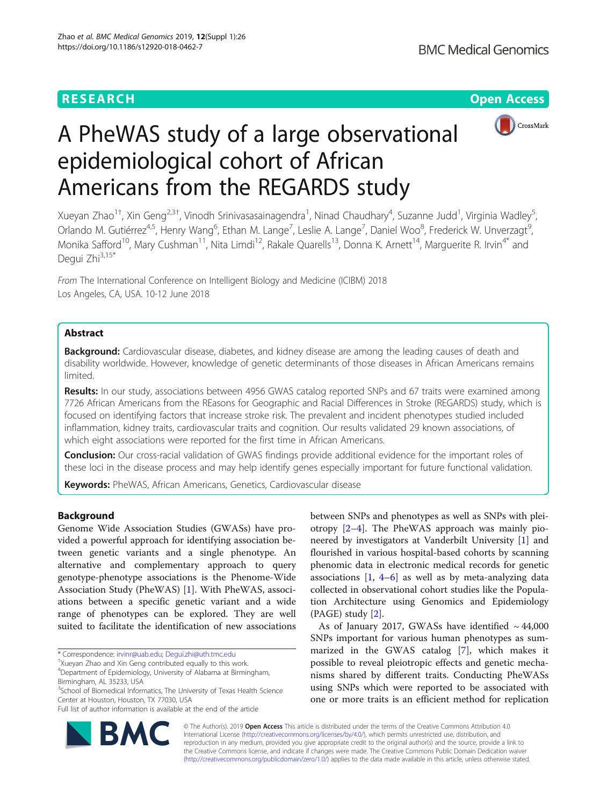## **RESEARCH CHINESE ARCH CHINESE ARCHITECT AND ACCESS**



# A PheWAS study of a large observational epidemiological cohort of African Americans from the REGARDS study

Xueyan Zhao<sup>1+</sup>, Xin Geng<sup>2,3†</sup>, Vinodh Srinivasasainagendra<sup>1</sup>, Ninad Chaudhary<sup>4</sup>, Suzanne Judd<sup>1</sup>, Virginia Wadley<sup>5</sup> , Orlando M. Gutiérrez<sup>4,5</sup>, Henry Wang<sup>6</sup>, Ethan M. Lange<sup>7</sup>, Leslie A. Lange<sup>7</sup>, Daniel Woo<sup>8</sup>, Frederick W. Unverzagt<sup>s</sup> , Monika Safford<sup>10</sup>, Mary Cushman<sup>11</sup>, Nita Limdi<sup>12</sup>, Rakale Quarells<sup>13</sup>, Donna K. Arnett<sup>14</sup>, Marguerite R. Irvin<sup>4\*</sup> and Degui Zhi<sup>3,15\*</sup>

From The International Conference on Intelligent Biology and Medicine (ICIBM) 2018 Los Angeles, CA, USA. 10-12 June 2018

## Abstract

**Background:** Cardiovascular disease, diabetes, and kidney disease are among the leading causes of death and disability worldwide. However, knowledge of genetic determinants of those diseases in African Americans remains limited.

Results: In our study, associations between 4956 GWAS catalog reported SNPs and 67 traits were examined among 7726 African Americans from the REasons for Geographic and Racial Differences in Stroke (REGARDS) study, which is focused on identifying factors that increase stroke risk. The prevalent and incident phenotypes studied included inflammation, kidney traits, cardiovascular traits and cognition. Our results validated 29 known associations, of which eight associations were reported for the first time in African Americans.

Conclusion: Our cross-racial validation of GWAS findings provide additional evidence for the important roles of these loci in the disease process and may help identify genes especially important for future functional validation.

Keywords: PheWAS, African Americans, Genetics, Cardiovascular disease

## Background

Genome Wide Association Studies (GWASs) have provided a powerful approach for identifying association between genetic variants and a single phenotype. An alternative and complementary approach to query genotype-phenotype associations is the Phenome-Wide Association Study (PheWAS) [[1\]](#page-8-0). With PheWAS, associations between a specific genetic variant and a wide range of phenotypes can be explored. They are well suited to facilitate the identification of new associations



As of January 2017, GWASs have identified  $\sim$  44,000 SNPs important for various human phenotypes as summarized in the GWAS catalog [[7\]](#page-8-0), which makes it possible to reveal pleiotropic effects and genetic mechanisms shared by different traits. Conducting PheWASs using SNPs which were reported to be associated with one or more traits is an efficient method for replication



© The Author(s). 2019 **Open Access** This article is distributed under the terms of the Creative Commons Attribution 4.0 International License [\(http://creativecommons.org/licenses/by/4.0/](http://creativecommons.org/licenses/by/4.0/)), which permits unrestricted use, distribution, and reproduction in any medium, provided you give appropriate credit to the original author(s) and the source, provide a link to the Creative Commons license, and indicate if changes were made. The Creative Commons Public Domain Dedication waiver [\(http://creativecommons.org/publicdomain/zero/1.0/](http://creativecommons.org/publicdomain/zero/1.0/)) applies to the data made available in this article, unless otherwise stated.

<sup>\*</sup> Correspondence: [irvinr@uab.edu;](mailto:irvinr@uab.edu) [Degui.zhi@uth.tmc.edu](mailto:Degui.zhi@uth.tmc.edu) †

Xueyan Zhao and Xin Geng contributed equally to this work.

<sup>4</sup> Department of Epidemiology, University of Alabama at Birmingham, Birmingham, AL 35233, USA

<sup>&</sup>lt;sup>3</sup>School of Biomedical Informatics, The University of Texas Health Science Center at Houston, Houston, TX 77030, USA

Full list of author information is available at the end of the article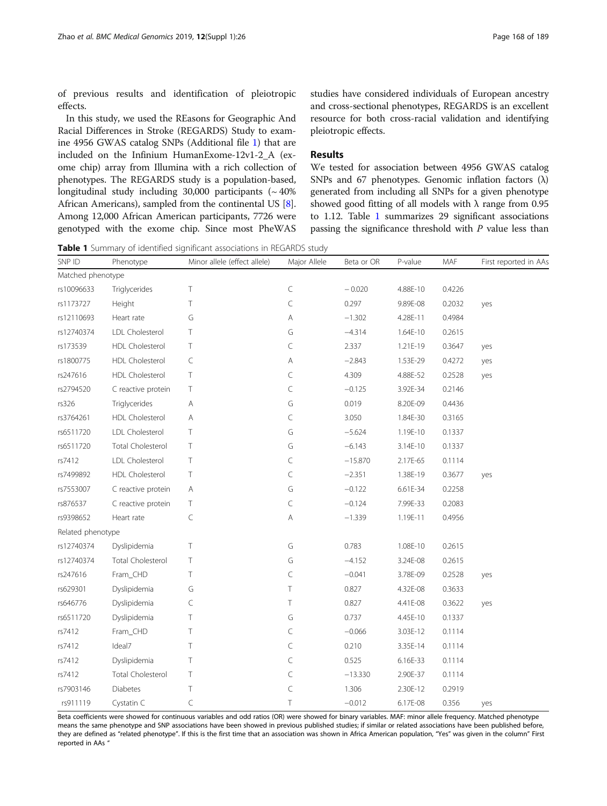<span id="page-1-0"></span>of previous results and identification of pleiotropic effects.

In this study, we used the REasons for Geographic And Racial Differences in Stroke (REGARDS) Study to examine 4956 GWAS catalog SNPs (Additional file [1\)](#page-7-0) that are included on the Infinium HumanExome-12v1-2\_A (exome chip) array from Illumina with a rich collection of phenotypes. The REGARDS study is a population-based, longitudinal study including  $30,000$  participants ( $\sim 40\%$ ) African Americans), sampled from the continental US [[8](#page-8-0)]. Among 12,000 African American participants, 7726 were genotyped with the exome chip. Since most PheWAS

studies have considered individuals of European ancestry and cross-sectional phenotypes, REGARDS is an excellent resource for both cross-racial validation and identifying pleiotropic effects.

## Results

We tested for association between 4956 GWAS catalog SNPs and 67 phenotypes. Genomic inflation factors  $(\lambda)$ generated from including all SNPs for a given phenotype showed good fitting of all models with  $\lambda$  range from 0.95 to 1.12. Table 1 summarizes 29 significant associations passing the significance threshold with  $P$  value less than

Table 1 Summary of identified significant associations in REGARDS study

| SNP ID            | Phenotype                | Minor allele (effect allele) | Major Allele | Beta or OR | P-value  | MAF    | First reported in AAs |
|-------------------|--------------------------|------------------------------|--------------|------------|----------|--------|-----------------------|
| Matched phenotype |                          |                              |              |            |          |        |                       |
| rs10096633        | Triglycerides            | Τ                            | $\subset$    | $-0.020$   | 4.88E-10 | 0.4226 |                       |
| rs1173727         | Height                   | Τ                            | $\subset$    | 0.297      | 9.89E-08 | 0.2032 | yes                   |
| rs12110693        | Heart rate               | G                            | Α            | $-1.302$   | 4.28E-11 | 0.4984 |                       |
| rs12740374        | LDL Cholesterol          | Τ                            | G            | $-4.314$   | 1.64E-10 | 0.2615 |                       |
| rs173539          | HDL Cholesterol          | Τ                            | C            | 2.337      | 1.21E-19 | 0.3647 | yes                   |
| rs1800775         | HDL Cholesterol          | C                            | Α            | $-2.843$   | 1.53E-29 | 0.4272 | yes                   |
| rs247616          | HDL Cholesterol          | Τ                            | $\subset$    | 4.309      | 4.88E-52 | 0.2528 | yes                   |
| rs2794520         | C reactive protein       | Τ                            | $\subset$    | $-0.125$   | 3.92E-34 | 0.2146 |                       |
| rs326             | Triglycerides            | А                            | G            | 0.019      | 8.20E-09 | 0.4436 |                       |
| rs3764261         | HDL Cholesterol          | Α                            | $\subset$    | 3.050      | 1.84E-30 | 0.3165 |                       |
| rs6511720         | LDL Cholesterol          | Τ                            | G            | $-5.624$   | 1.19E-10 | 0.1337 |                       |
| rs6511720         | Total Cholesterol        | Τ                            | G            | $-6.143$   | 3.14E-10 | 0.1337 |                       |
| rs7412            | LDL Cholesterol          | Τ                            | $\subset$    | $-15.870$  | 2.17E-65 | 0.1114 |                       |
| rs7499892         | HDL Cholesterol          | Τ                            | $\subset$    | $-2.351$   | 1.38E-19 | 0.3677 | yes                   |
| rs7553007         | C reactive protein       | Α                            | G            | $-0.122$   | 6.61E-34 | 0.2258 |                       |
| rs876537          | C reactive protein       | Τ                            | $\subset$    | $-0.124$   | 7.99E-33 | 0.2083 |                       |
| rs9398652         | Heart rate               | $\subset$                    | Α            | $-1.339$   | 1.19E-11 | 0.4956 |                       |
| Related phenotype |                          |                              |              |            |          |        |                       |
| rs12740374        | Dyslipidemia             | Τ                            | G            | 0.783      | 1.08E-10 | 0.2615 |                       |
| rs12740374        | <b>Total Cholesterol</b> | Τ                            | G            | $-4.152$   | 3.24E-08 | 0.2615 |                       |
| rs247616          | Fram_CHD                 | Τ                            | $\subset$    | $-0.041$   | 3.78E-09 | 0.2528 | yes                   |
| rs629301          | Dyslipidemia             | G                            | T            | 0.827      | 4.32E-08 | 0.3633 |                       |
| rs646776          | Dyslipidemia             | $\subset$                    | T            | 0.827      | 4.41E-08 | 0.3622 | yes                   |
| rs6511720         | Dyslipidemia             | Τ                            | G            | 0.737      | 4.45E-10 | 0.1337 |                       |
| rs7412            | Fram_CHD                 | Τ                            | $\subset$    | $-0.066$   | 3.03E-12 | 0.1114 |                       |
| rs7412            | Ideal7                   | Τ                            | $\subset$    | 0.210      | 3.35E-14 | 0.1114 |                       |
| rs7412            | Dyslipidemia             | T                            | $\subset$    | 0.525      | 6.16E-33 | 0.1114 |                       |
| rs7412            | Total Cholesterol        | T                            | C            | $-13.330$  | 2.90E-37 | 0.1114 |                       |
| rs7903146         | <b>Diabetes</b>          | Τ                            | $\subset$    | 1.306      | 2.30E-12 | 0.2919 |                       |
| rs911119          | Cystatin C               | C                            | T            | $-0.012$   | 6.17E-08 | 0.356  | yes                   |

Beta coefficients were showed for continuous variables and odd ratios (OR) were showed for binary variables. MAF: minor allele frequency. Matched phenotype means the same phenotype and SNP associations have been showed in previous published studies; if similar or related associations have been published before, they are defined as "related phenotype". If this is the first time that an association was shown in Africa American population, "Yes" was given in the column" First reported in AAs "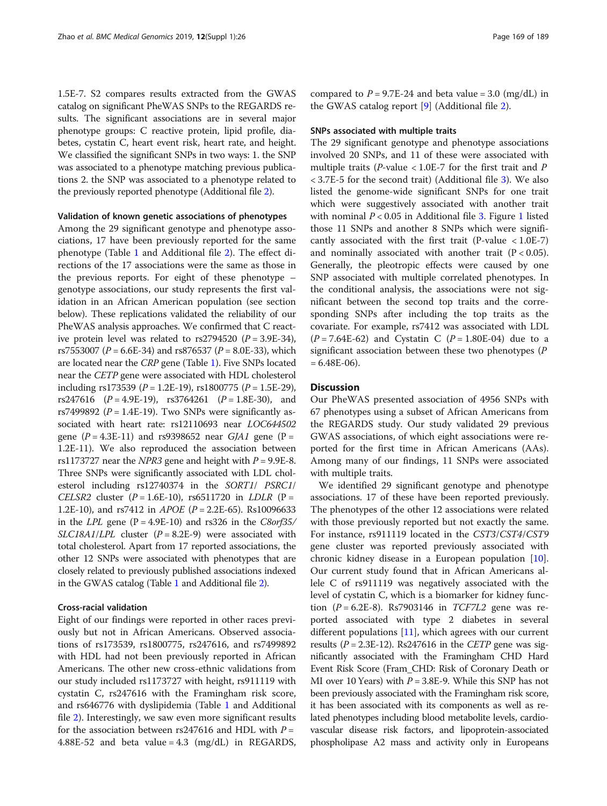1.5E-7. S2 compares results extracted from the GWAS catalog on significant PheWAS SNPs to the REGARDS results. The significant associations are in several major phenotype groups: C reactive protein, lipid profile, diabetes, cystatin C, heart event risk, heart rate, and height. We classified the significant SNPs in two ways: 1. the SNP was associated to a phenotype matching previous publications 2. the SNP was associated to a phenotype related to the previously reported phenotype (Additional file [2](#page-7-0)).

#### Validation of known genetic associations of phenotypes

Among the 29 significant genotype and phenotype associations, 17 have been previously reported for the same phenotype (Table [1](#page-1-0) and Additional file [2](#page-7-0)). The effect directions of the 17 associations were the same as those in the previous reports. For eight of these phenotype – genotype associations, our study represents the first validation in an African American population (see section below). These replications validated the reliability of our PheWAS analysis approaches. We confirmed that C reactive protein level was related to  $rs2794520$  ( $P = 3.9E-34$ ), rs7553007 ( $P = 6.6E-34$ ) and rs876537 ( $P = 8.0E-33$ ), which are located near the CRP gene (Table [1](#page-1-0)). Five SNPs located near the CETP gene were associated with HDL cholesterol including rs173539 ( $P = 1.2E-19$ ), rs1800775 ( $P = 1.5E-29$ ), rs247616  $(P = 4.9E-19)$ , rs3764261  $(P = 1.8E-30)$ , and rs7499892 ( $P = 1.4E-19$ ). Two SNPs were significantly associated with heart rate: rs12110693 near LOC644502 gene  $(P = 4.3E-11)$  and rs9398652 near GJA1 gene (P = 1.2E-11). We also reproduced the association between rs1173727 near the *NPR3* gene and height with  $P = 9.9E-8$ . Three SNPs were significantly associated with LDL cholesterol including rs12740374 in the SORT1/ PSRC1/ CELSR2 cluster  $(P = 1.6E-10)$ , rs6511720 in LDLR  $(P =$ 1.2E-10), and rs7412 in *APOE* ( $P = 2.2E-65$ ). Rs10096633 in the LPL gene  $(P = 4.9E-10)$  and rs326 in the C8orf35/ SLC18A1/LPL cluster  $(P = 8.2E-9)$  were associated with total cholesterol. Apart from 17 reported associations, the other 12 SNPs were associated with phenotypes that are closely related to previously published associations indexed in the GWAS catalog (Table [1](#page-1-0) and Additional file [2](#page-7-0)).

## Cross-racial validation

Eight of our findings were reported in other races previously but not in African Americans. Observed associations of rs173539, rs1800775, rs247616, and rs7499892 with HDL had not been previously reported in African Americans. The other new cross-ethnic validations from our study included rs1173727 with height, rs911119 with cystatin C, rs247616 with the Framingham risk score, and rs646776 with dyslipidemia (Table [1](#page-1-0) and Additional file [2\)](#page-7-0). Interestingly, we saw even more significant results for the association between rs247616 and HDL with  $P =$ 4.88E-52 and beta value = 4.3  $(mg/dL)$  in REGARDS, compared to  $P = 9.7E-24$  and beta value = 3.0 (mg/dL) in the GWAS catalog report [[9\]](#page-8-0) (Additional file [2](#page-7-0)).

#### SNPs associated with multiple traits

The 29 significant genotype and phenotype associations involved 20 SNPs, and 11 of these were associated with multiple traits ( $P$ -value < 1.0E-7 for the first trait and  $P$  $<$  3.7E-5 for the second trait) (Additional file [3\)](#page-7-0). We also listed the genome-wide significant SNPs for one trait which were suggestively associated with another trait with nominal  $P < 0.05$  in Additional file [3.](#page-7-0) Figure [1](#page-3-0) listed those 11 SNPs and another 8 SNPs which were significantly associated with the first trait (P-value  $< 1.0E-7$ ) and nominally associated with another trait  $(P < 0.05)$ . Generally, the pleotropic effects were caused by one SNP associated with multiple correlated phenotypes. In the conditional analysis, the associations were not significant between the second top traits and the corresponding SNPs after including the top traits as the covariate. For example, rs7412 was associated with LDL  $(P = 7.64E-62)$  and Cystatin C  $(P = 1.80E-04)$  due to a significant association between these two phenotypes (P  $= 6.48E-06$ ).

## **Discussion**

Our PheWAS presented association of 4956 SNPs with 67 phenotypes using a subset of African Americans from the REGARDS study. Our study validated 29 previous GWAS associations, of which eight associations were reported for the first time in African Americans (AAs). Among many of our findings, 11 SNPs were associated with multiple traits.

We identified 29 significant genotype and phenotype associations. 17 of these have been reported previously. The phenotypes of the other 12 associations were related with those previously reported but not exactly the same. For instance, rs911119 located in the CST3/CST4/CST9 gene cluster was reported previously associated with chronic kidney disease in a European population [\[10](#page-8-0)]. Our current study found that in African Americans allele C of rs911119 was negatively associated with the level of cystatin C, which is a biomarker for kidney function ( $P = 6.2E-8$ ). Rs7903146 in *TCF7L2* gene was reported associated with type 2 diabetes in several different populations [\[11](#page-8-0)], which agrees with our current results ( $P = 2.3E-12$ ). Rs247616 in the *CETP* gene was significantly associated with the Framingham CHD Hard Event Risk Score (Fram\_CHD: Risk of Coronary Death or MI over 10 Years) with  $P = 3.8E-9$ . While this SNP has not been previously associated with the Framingham risk score, it has been associated with its components as well as related phenotypes including blood metabolite levels, cardiovascular disease risk factors, and lipoprotein-associated phospholipase A2 mass and activity only in Europeans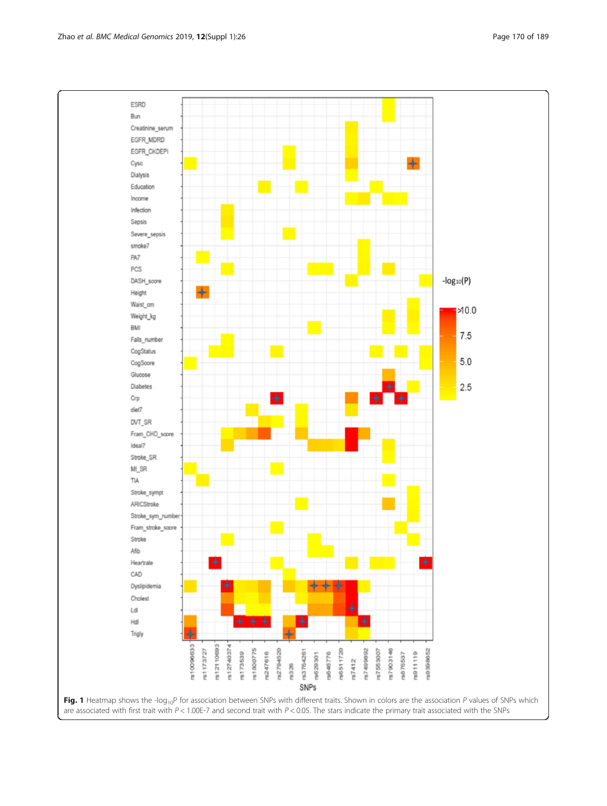<span id="page-3-0"></span>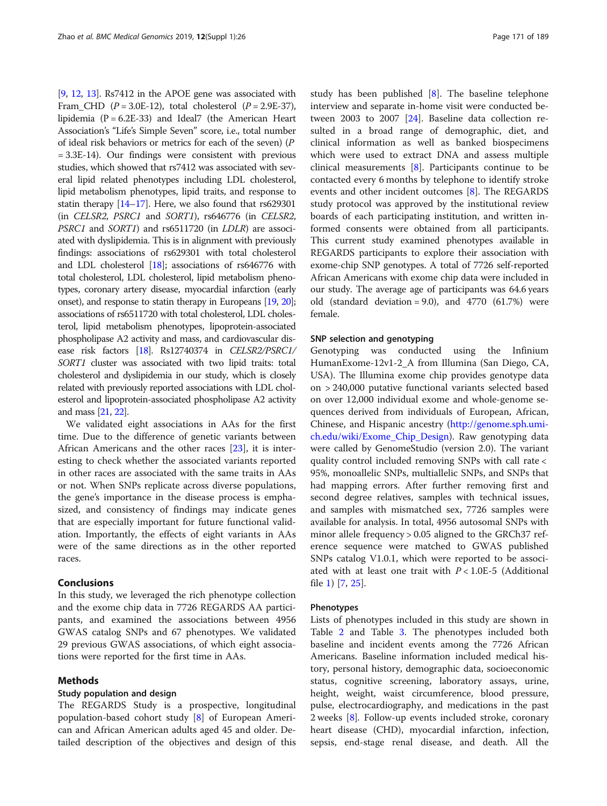[[9](#page-8-0), [12](#page-8-0), [13](#page-8-0)]. Rs7412 in the APOE gene was associated with Fram\_CHD ( $P = 3.0E-12$ ), total cholesterol ( $P = 2.9E-37$ ), lipidemia ( $P = 6.2E-33$ ) and Ideal7 (the American Heart Association's "Life's Simple Seven" score, i.e., total number of ideal risk behaviors or metrics for each of the seven) (P = 3.3E-14). Our findings were consistent with previous studies, which showed that rs7412 was associated with several lipid related phenotypes including LDL cholesterol, lipid metabolism phenotypes, lipid traits, and response to statin therapy [[14](#page-8-0)–[17\]](#page-8-0). Here, we also found that rs629301 (in CELSR2, PSRC1 and SORT1), rs646776 (in CELSR2, PSRC1 and SORT1) and rs6511720 (in LDLR) are associated with dyslipidemia. This is in alignment with previously findings: associations of rs629301 with total cholesterol and LDL cholesterol [\[18\]](#page-8-0); associations of rs646776 with total cholesterol, LDL cholesterol, lipid metabolism phenotypes, coronary artery disease, myocardial infarction (early onset), and response to statin therapy in Europeans [\[19](#page-8-0), [20](#page-8-0)]; associations of rs6511720 with total cholesterol, LDL cholesterol, lipid metabolism phenotypes, lipoprotein-associated phospholipase A2 activity and mass, and cardiovascular disease risk factors [\[18](#page-8-0)]. Rs12740374 in CELSR2/PSRC1/ SORT1 cluster was associated with two lipid traits: total cholesterol and dyslipidemia in our study, which is closely related with previously reported associations with LDL cholesterol and lipoprotein-associated phospholipase A2 activity and mass [\[21,](#page-8-0) [22\]](#page-8-0).

We validated eight associations in AAs for the first time. Due to the difference of genetic variants between African Americans and the other races [[23](#page-8-0)], it is interesting to check whether the associated variants reported in other races are associated with the same traits in AAs or not. When SNPs replicate across diverse populations, the gene's importance in the disease process is emphasized, and consistency of findings may indicate genes that are especially important for future functional validation. Importantly, the effects of eight variants in AAs were of the same directions as in the other reported races.

## Conclusions

In this study, we leveraged the rich phenotype collection and the exome chip data in 7726 REGARDS AA participants, and examined the associations between 4956 GWAS catalog SNPs and 67 phenotypes. We validated 29 previous GWAS associations, of which eight associations were reported for the first time in AAs.

## Methods

## Study population and design

The REGARDS Study is a prospective, longitudinal population-based cohort study [[8\]](#page-8-0) of European American and African American adults aged 45 and older. Detailed description of the objectives and design of this study has been published  $[8]$  $[8]$ . The baseline telephone interview and separate in-home visit were conducted between 2003 to 2007 [\[24](#page-8-0)]. Baseline data collection resulted in a broad range of demographic, diet, and clinical information as well as banked biospecimens which were used to extract DNA and assess multiple clinical measurements [\[8](#page-8-0)]. Participants continue to be contacted every 6 months by telephone to identify stroke events and other incident outcomes [\[8\]](#page-8-0). The REGARDS study protocol was approved by the institutional review boards of each participating institution, and written informed consents were obtained from all participants. This current study examined phenotypes available in REGARDS participants to explore their association with exome-chip SNP genotypes. A total of 7726 self-reported African Americans with exome chip data were included in our study. The average age of participants was 64.6 years old (standard deviation = 9.0), and 4770  $(61.7%)$  were female.

## SNP selection and genotyping

Genotyping was conducted using the Infinium HumanExome-12v1-2\_A from Illumina (San Diego, CA, USA). The Illumina exome chip provides genotype data on > 240,000 putative functional variants selected based on over 12,000 individual exome and whole-genome sequences derived from individuals of European, African, Chinese, and Hispanic ancestry ([http://genome.sph.umi](http://genome.sph.umich.edu/wiki/Exome_Chip_Design)[ch.edu/wiki/Exome\\_Chip\\_Design\)](http://genome.sph.umich.edu/wiki/Exome_Chip_Design). Raw genotyping data were called by GenomeStudio (version 2.0). The variant quality control included removing SNPs with call rate < 95%, monoallelic SNPs, multiallelic SNPs, and SNPs that had mapping errors. After further removing first and second degree relatives, samples with technical issues, and samples with mismatched sex, 7726 samples were available for analysis. In total, 4956 autosomal SNPs with minor allele frequency > 0.05 aligned to the GRCh37 reference sequence were matched to GWAS published SNPs catalog V1.0.1, which were reported to be associated with at least one trait with  $P < 1.0E-5$  (Additional file [1\)](#page-7-0) [\[7](#page-8-0), [25](#page-8-0)].

## Phenotypes

Lists of phenotypes included in this study are shown in Table [2](#page-5-0) and Table [3.](#page-6-0) The phenotypes included both baseline and incident events among the 7726 African Americans. Baseline information included medical history, personal history, demographic data, socioeconomic status, cognitive screening, laboratory assays, urine, height, weight, waist circumference, blood pressure, pulse, electrocardiography, and medications in the past 2 weeks [\[8\]](#page-8-0). Follow-up events included stroke, coronary heart disease (CHD), myocardial infarction, infection, sepsis, end-stage renal disease, and death. All the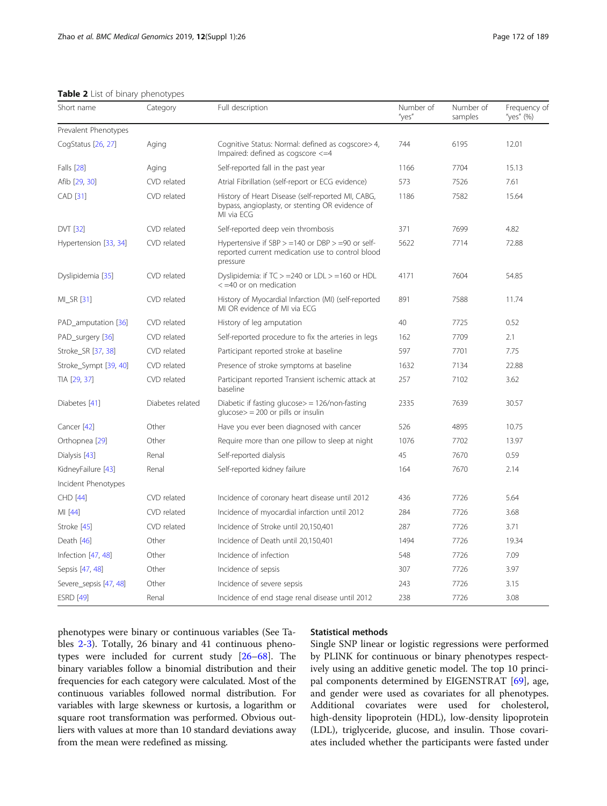<span id="page-5-0"></span>Table 2 List of binary phenotypes

| Short name             | Category         | Full description                                                                                                       | Number of<br>"yes" | Number of<br>samples | Frequency of<br>"yes" (%) |
|------------------------|------------------|------------------------------------------------------------------------------------------------------------------------|--------------------|----------------------|---------------------------|
| Prevalent Phenotypes   |                  |                                                                                                                        |                    |                      |                           |
| CogStatus [26, 27]     | Aging            | Cognitive Status: Normal: defined as cogscore > 4,<br>Impaired: defined as cogscore <= 4                               | 744                | 6195                 | 12.01                     |
| <b>Falls</b> [28]      | Aging            | Self-reported fall in the past year                                                                                    | 1166               | 7704                 | 15.13                     |
| Afib [29, 30]          | CVD related      | Atrial Fibrillation (self-report or ECG evidence)                                                                      | 573                | 7526                 | 7.61                      |
| CAD [31]               | CVD related      | History of Heart Disease (self-reported MI, CABG,<br>bypass, angioplasty, or stenting OR evidence of<br>MI via ECG     | 1186               | 7582                 | 15.64                     |
| <b>DVT [32]</b>        | CVD related      | Self-reported deep vein thrombosis                                                                                     | 371                | 7699                 | 4.82                      |
| Hypertension [33, 34]  | CVD related      | Hypertensive if SBP $> = 140$ or DBP $> = 90$ or self-<br>reported current medication use to control blood<br>pressure | 5622               | 7714                 | 72.88                     |
| Dyslipidemia [35]      | CVD related      | Dyslipidemia: if $TC > = 240$ or $LDL > = 160$ or $HDL$<br>$<$ =40 or on medication                                    | 4171               | 7604                 | 54.85                     |
| MI_SR [31]             | CVD related      | History of Myocardial Infarction (MI) (self-reported<br>MI OR evidence of MI via ECG                                   | 891                | 7588                 | 11.74                     |
| PAD_amputation [36]    | CVD related      | History of leg amputation                                                                                              | 40                 | 7725                 | 0.52                      |
| PAD_surgery [36]       | CVD related      | Self-reported procedure to fix the arteries in legs                                                                    | 162                | 7709                 | 2.1                       |
| Stroke_SR [37, 38]     | CVD related      | Participant reported stroke at baseline                                                                                | 597                | 7701                 | 7.75                      |
| Stroke_Sympt [39, 40]  | CVD related      | Presence of stroke symptoms at baseline                                                                                | 1632               | 7134                 | 22.88                     |
| TIA [29, 37]           | CVD related      | Participant reported Transient ischemic attack at<br>baseline                                                          | 257                | 7102                 | 3.62                      |
| Diabetes [41]          | Diabetes related | Diabetic if fasting glucose $>$ = 126/non-fasting<br>$glucose$ = 200 or pills or insulin                               | 2335               | 7639                 | 30.57                     |
| Cancer [42]            | Other            | Have you ever been diagnosed with cancer                                                                               | 526                | 4895                 | 10.75                     |
| Orthopnea [29]         | Other            | Require more than one pillow to sleep at night                                                                         | 1076               | 7702                 | 13.97                     |
| Dialysis [43]          | Renal            | Self-reported dialysis                                                                                                 | 45                 | 7670                 | 0.59                      |
| KidneyFailure [43]     | Renal            | Self-reported kidney failure                                                                                           | 164                | 7670                 | 2.14                      |
| Incident Phenotypes    |                  |                                                                                                                        |                    |                      |                           |
| CHD [44]               | CVD related      | Incidence of coronary heart disease until 2012                                                                         | 436                | 7726                 | 5.64                      |
| MI [44]                | CVD related      | Incidence of myocardial infarction until 2012                                                                          | 284                | 7726                 | 3.68                      |
| Stroke [45]            | CVD related      | Incidence of Stroke until 20,150,401                                                                                   | 287                | 7726                 | 3.71                      |
| Death [46]             | Other            | Incidence of Death until 20,150,401                                                                                    | 1494               | 7726                 | 19.34                     |
| Infection [47, 48]     | Other            | Incidence of infection                                                                                                 | 548                | 7726                 | 7.09                      |
| Sepsis [47, 48]        | Other            | Incidence of sepsis                                                                                                    | 307                | 7726                 | 3.97                      |
| Severe_sepsis [47, 48] | Other            | Incidence of severe sepsis                                                                                             | 243                | 7726                 | 3.15                      |
| <b>ESRD</b> [49]       | Renal            | Incidence of end stage renal disease until 2012                                                                        | 238                | 7726                 | 3.08                      |

phenotypes were binary or continuous variables (See Tables 2[-3](#page-6-0)). Totally, 26 binary and 41 continuous phenotypes were included for current study [\[26](#page-8-0)–[68\]](#page-10-0). The binary variables follow a binomial distribution and their frequencies for each category were calculated. Most of the continuous variables followed normal distribution. For variables with large skewness or kurtosis, a logarithm or square root transformation was performed. Obvious outliers with values at more than 10 standard deviations away from the mean were redefined as missing.

## Statistical methods

Single SNP linear or logistic regressions were performed by PLINK for continuous or binary phenotypes respectively using an additive genetic model. The top 10 principal components determined by EIGENSTRAT [\[69](#page-10-0)], age, and gender were used as covariates for all phenotypes. Additional covariates were used for cholesterol, high-density lipoprotein (HDL), low-density lipoprotein (LDL), triglyceride, glucose, and insulin. Those covariates included whether the participants were fasted under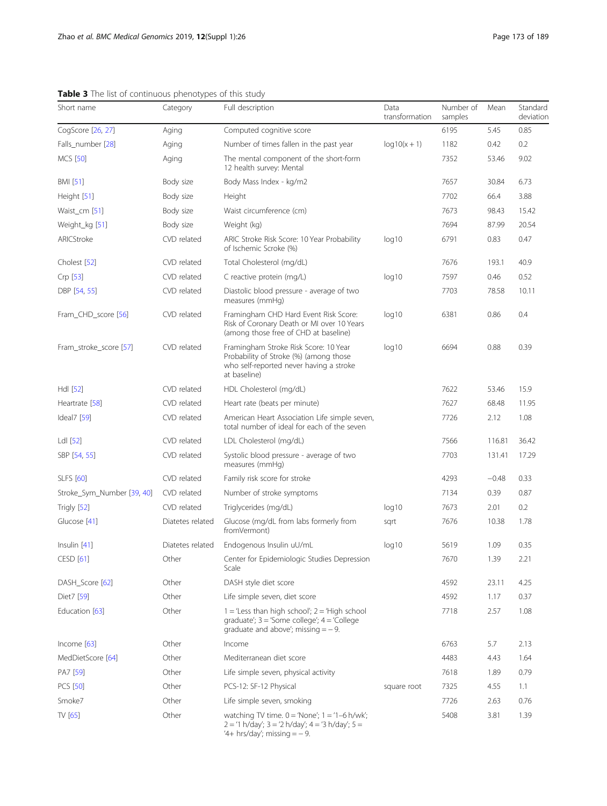| Short name                 | Category         | Full description                                                                                                                              | Data<br>transformation | Number of<br>samples | Mean    | Standard<br>deviation |
|----------------------------|------------------|-----------------------------------------------------------------------------------------------------------------------------------------------|------------------------|----------------------|---------|-----------------------|
| CogScore [26, 27]          | Aging            | Computed cognitive score                                                                                                                      |                        | 6195                 | 5.45    | 0.85                  |
| Falls_number [28]          | Aging            | Number of times fallen in the past year                                                                                                       | $log 10(x + 1)$        | 1182                 | 0.42    | 0.2                   |
| <b>MCS</b> [50]            | Aging            | The mental component of the short-form<br>12 health survey: Mental                                                                            |                        | 7352                 | 53.46   | 9.02                  |
| <b>BMI</b> [51]            | Body size        | Body Mass Index - kg/m2                                                                                                                       |                        | 7657                 | 30.84   | 6.73                  |
| Height [51]                | Body size        | Height                                                                                                                                        |                        | 7702                 | 66.4    | 3.88                  |
| Waist_cm [51]              | Body size        | Waist circumference (cm)                                                                                                                      |                        | 7673                 | 98.43   | 15.42                 |
| Weight_kg [51]             | Body size        | Weight (kg)                                                                                                                                   |                        | 7694                 | 87.99   | 20.54                 |
| ARICStroke                 | CVD related      | ARIC Stroke Risk Score: 10 Year Probability<br>of Ischemic Scroke (%)                                                                         | log10                  | 6791                 | 0.83    | 0.47                  |
| Cholest [52]               | CVD related      | Total Cholesterol (mg/dL)                                                                                                                     |                        | 7676                 | 193.1   | 40.9                  |
| Crp [53]                   | CVD related      | C reactive protein (mg/L)                                                                                                                     | log10                  | 7597                 | 0.46    | 0.52                  |
| DBP [54, 55]               | CVD related      | Diastolic blood pressure - average of two<br>measures (mmHq)                                                                                  |                        | 7703                 | 78.58   | 10.11                 |
| Fram_CHD_score [56]        | CVD related      | Framingham CHD Hard Event Risk Score:<br>Risk of Coronary Death or MI over 10 Years<br>(among those free of CHD at baseline)                  | log10                  | 6381                 | 0.86    | 0.4                   |
| Fram stroke score [57]     | CVD related      | Framingham Stroke Risk Score: 10 Year<br>Probability of Stroke (%) (among those<br>who self-reported never having a stroke<br>at baseline)    | log10                  | 6694                 | 0.88    | 0.39                  |
| Hdl [52]                   | CVD related      | HDL Cholesterol (mg/dL)                                                                                                                       |                        | 7622                 | 53.46   | 15.9                  |
| Heartrate [58]             | CVD related      | Heart rate (beats per minute)                                                                                                                 |                        | 7627                 | 68.48   | 11.95                 |
| Ideal7 [59]                | CVD related      | American Heart Association Life simple seven,<br>total number of ideal for each of the seven                                                  |                        | 7726                 | 2.12    | 1.08                  |
| Ldl [52]                   | CVD related      | LDL Cholesterol (mg/dL)                                                                                                                       |                        | 7566                 | 116.81  | 36.42                 |
| SBP [54, 55]               | CVD related      | Systolic blood pressure - average of two<br>measures (mmHg)                                                                                   |                        | 7703                 | 131.41  | 17.29                 |
| <b>SLFS</b> [60]           | CVD related      | Family risk score for stroke                                                                                                                  |                        | 4293                 | $-0.48$ | 0.33                  |
| Stroke_Sym_Number [39, 40] | CVD related      | Number of stroke symptoms                                                                                                                     |                        | 7134                 | 0.39    | 0.87                  |
| Trigly [52]                | CVD related      | Triglycerides (mg/dL)                                                                                                                         | log10                  | 7673                 | 2.01    | 0.2                   |
| Glucose [41]               | Diatetes related | Glucose (mg/dL from labs formerly from<br>fromVermont)                                                                                        | sart                   | 7676                 | 10.38   | 1.78                  |
| Insulin $[41]$             | Diatetes related | Endogenous Insulin uU/mL                                                                                                                      | log10                  | 5619                 | 1.09    | 0.35                  |
| CESD [61]                  | Other            | Center for Epidemiologic Studies Depression<br>Scale                                                                                          |                        | 7670                 | 1.39    | 2.21                  |
| DASH Score [62]            | Other            | DASH style diet score                                                                                                                         |                        | 4592                 | 23.11   | 4.25                  |
| Diet7 [59]                 | Other            | Life simple seven, diet score                                                                                                                 |                        | 4592                 | 1.17    | 0.37                  |
| Education [63]             | Other            | $1 =$ 'Less than high school'; $2 =$ 'High school<br>graduate'; $3 =$ 'Some college'; $4 =$ 'College<br>graduate and above'; missing $=$ - 9. |                        | 7718                 | 2.57    | 1.08                  |
| Income $[63]$              | Other            | Income                                                                                                                                        |                        | 6763                 | 5.7     | 2.13                  |
| MedDietScore [64]          | Other            | Mediterranean diet score                                                                                                                      |                        | 4483                 | 4.43    | 1.64                  |
| PA7 [59]                   | Other            | Life simple seven, physical activity                                                                                                          |                        | 7618                 | 1.89    | 0.79                  |
| <b>PCS [50]</b>            | Other            | PCS-12: SF-12 Physical                                                                                                                        | square root            | 7325                 | 4.55    | 1.1                   |
| Smoke7                     | Other            | Life simple seven, smoking                                                                                                                    |                        | 7726                 | 2.63    | 0.76                  |
| $TV$ [65]                  | Other            | watching TV time. $0 = 'None'; 1 = '1-6 h/wk';$<br>2 = '1 h/day'; 3 = '2 h/day'; 4 = '3 h/day'; 5 =<br>'4+ hrs/day'; missing $=$ -9.          |                        | 5408                 | 3.81    | 1.39                  |

<span id="page-6-0"></span>Table 3 The list of continuous phenotypes of this study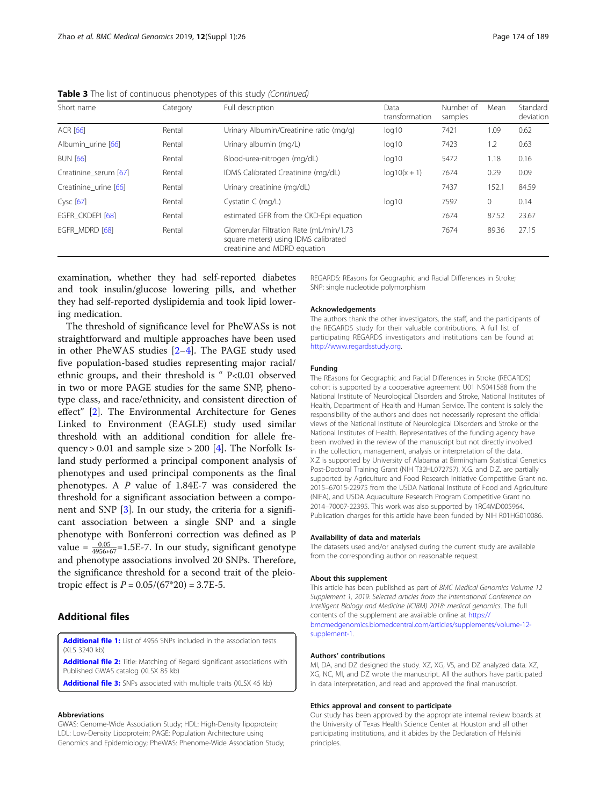| Short name            | Category | Full description                                                                                                | Data<br>transformation | Number of<br>samples | Mean    | Standard<br>deviation |
|-----------------------|----------|-----------------------------------------------------------------------------------------------------------------|------------------------|----------------------|---------|-----------------------|
| <b>ACR [66]</b>       | Rental   | Urinary Albumin/Creatinine ratio (mg/g)                                                                         | log10                  | 7421                 | 1.09    | 0.62                  |
| Albumin urine [66]    | Rental   | Urinary albumin (mg/L)                                                                                          | log10                  | 7423                 | 1.2     | 0.63                  |
| <b>BUN [66]</b>       | Rental   | Blood-urea-nitrogen (mg/dL)                                                                                     | log10                  | 5472                 | 1.18    | 0.16                  |
| Creatinine_serum [67] | Rental   | IDMS Calibrated Creatinine (mg/dL)                                                                              | $log 10(x + 1)$        | 7674                 | 0.29    | 0.09                  |
| Creatinine urine [66] | Rental   | Urinary creatinine (mg/dL)                                                                                      |                        | 7437                 | 152.1   | 84.59                 |
| Cysc [67]             | Rental   | Cystatin $C$ (mg/L)                                                                                             | log10                  | 7597                 | $\circ$ | 0.14                  |
| EGFR CKDEPI [68]      | Rental   | estimated GFR from the CKD-Epi equation                                                                         |                        | 7674                 | 87.52   | 23.67                 |
| EGFR MDRD [68]        | Rental   | Glomerular Filtration Rate (mL/min/1.73<br>square meters) using IDMS calibrated<br>creatinine and MDRD equation |                        | 7674                 | 89.36   | 27.15                 |

<span id="page-7-0"></span>Table 3 The list of continuous phenotypes of this study (Continued)

examination, whether they had self-reported diabetes and took insulin/glucose lowering pills, and whether they had self-reported dyslipidemia and took lipid lowering medication.

The threshold of significance level for PheWASs is not straightforward and multiple approaches have been used in other PheWAS studies [\[2](#page-8-0)–[4](#page-8-0)]. The PAGE study used five population-based studies representing major racial/ ethnic groups, and their threshold is " P<0.01 observed in two or more PAGE studies for the same SNP, phenotype class, and race/ethnicity, and consistent direction of effect" [[2](#page-8-0)]. The Environmental Architecture for Genes Linked to Environment (EAGLE) study used similar threshold with an additional condition for allele frequency  $> 0.01$  and sample size  $> 200$  [[4\]](#page-8-0). The Norfolk Island study performed a principal component analysis of phenotypes and used principal components as the final phenotypes. A P value of 1.84E-7 was considered the threshold for a significant association between a component and SNP [\[3](#page-8-0)]. In our study, the criteria for a significant association between a single SNP and a single phenotype with Bonferroni correction was defined as P value =  $\frac{0.05}{4956*67}$ =1.5E-7. In our study, significant genotype and phenotype associations involved 20 SNPs. Therefore, the significance threshold for a second trait of the pleiotropic effect is  $P = 0.05/(67*20) = 3.7E-5$ .

## Additional files

[Additional file 1:](https://doi.org/10.1186/s12920-018-0462-7) List of 4956 SNPs included in the association tests. (XLS 3240 kb)

[Additional file 2:](https://doi.org/10.1186/s12920-018-0462-7) Title: Matching of Regard significant associations with Published GWAS catalog (XLSX 85 kb)

[Additional file 3:](https://doi.org/10.1186/s12920-018-0462-7) SNPs associated with multiple traits (XLSX 45 kb)

#### Abbreviations

GWAS: Genome-Wide Association Study; HDL: High-Density lipoprotein; LDL: Low-Density Lipoprotein; PAGE: Population Architecture using Genomics and Epidemiology; PheWAS: Phenome-Wide Association Study; REGARDS: REasons for Geographic and Racial Differences in Stroke; SNP: single nucleotide polymorphism

#### Acknowledgements

The authors thank the other investigators, the staff, and the participants of the REGARDS study for their valuable contributions. A full list of participating REGARDS investigators and institutions can be found at [http://www.regardsstudy.org.](http://www.regardsstudy.org/)

#### Funding

The REasons for Geographic and Racial Differences in Stroke (REGARDS) cohort is supported by a cooperative agreement U01 NS041588 from the National Institute of Neurological Disorders and Stroke, National Institutes of Health, Department of Health and Human Service. The content is solely the responsibility of the authors and does not necessarily represent the official views of the National Institute of Neurological Disorders and Stroke or the National Institutes of Health. Representatives of the funding agency have been involved in the review of the manuscript but not directly involved in the collection, management, analysis or interpretation of the data. X.Z is supported by University of Alabama at Birmingham Statistical Genetics Post-Doctoral Training Grant (NIH T32HL072757). X.G. and D.Z. are partially supported by Agriculture and Food Research Initiative Competitive Grant no. 2015–67015-22975 from the USDA National Institute of Food and Agriculture (NIFA), and USDA Aquaculture Research Program Competitive Grant no. 2014–70007-22395. This work was also supported by 1RC4MD005964. Publication charges for this article have been funded by NIH R01HG010086.

## Availability of data and materials

The datasets used and/or analysed during the current study are available from the corresponding author on reasonable request.

#### About this supplement

This article has been published as part of BMC Medical Genomics Volume 12 Supplement 1, 2019: Selected articles from the International Conference on Intelligent Biology and Medicine (ICIBM) 2018: medical genomics. The full contents of the supplement are available online at [https://](https://bmcmedgenomics.biomedcentral.com/articles/supplements/volume-12-supplement-1) [bmcmedgenomics.biomedcentral.com/articles/supplements/volume-12](https://bmcmedgenomics.biomedcentral.com/articles/supplements/volume-12-supplement-1) [supplement-1](https://bmcmedgenomics.biomedcentral.com/articles/supplements/volume-12-supplement-1).

## Authors' contributions

MI, DA, and DZ designed the study. XZ, XG, VS, and DZ analyzed data. XZ, XG, NC, MI, and DZ wrote the manuscript. All the authors have participated in data interpretation, and read and approved the final manuscript.

#### Ethics approval and consent to participate

Our study has been approved by the appropriate internal review boards at the University of Texas Health Science Center at Houston and all other participating institutions, and it abides by the Declaration of Helsinki principles.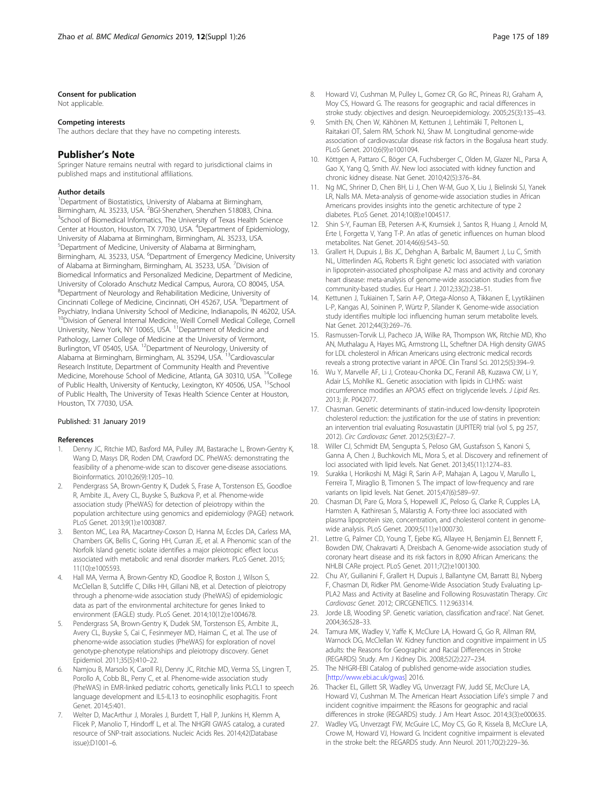#### <span id="page-8-0"></span>Consent for publication

Not applicable.

#### Competing interests

The authors declare that they have no competing interests.

## Publisher's Note

Springer Nature remains neutral with regard to jurisdictional claims in published maps and institutional affiliations.

#### Author details

<sup>1</sup>Department of Biostatistics, University of Alabama at Birmingham, Birmingham, AL 35233, USA. <sup>2</sup>BGI-Shenzhen, Shenzhen 518083, China.<br><sup>3</sup>School of Riomodical Informatics. The University of Texas Hoalth Scie <sup>3</sup>School of Biomedical Informatics, The University of Texas Health Science Center at Houston, Houston, TX 77030, USA. <sup>4</sup>Department of Epidemiology, University of Alabama at Birmingham, Birmingham, AL 35233, USA. 5 Department of Medicine, University of Alabama at Birmingham, Birmingham, AL 35233, USA. <sup>6</sup>Department of Emergency Medicine, University of Alabama at Birmingham, Birmingham, AL 35233, USA. <sup>7</sup> Division of Biomedical Informatics and Personalized Medicine, Department of Medicine, University of Colorado Anschutz Medical Campus, Aurora, CO 80045, USA. <sup>8</sup>Department of Neurology and Rehabilitation Medicine, University of Cincinnati College of Medicine, Cincinnati, OH 45267, USA. <sup>9</sup>Department of Psychiatry, Indiana University School of Medicine, Indianapolis, IN 46202, USA. <sup>10</sup>Division of General Internal Medicine, Weill Cornell Medical College, Cornell University, New York, NY 10065, USA.<sup>11</sup> Department of Medicine and Pathology, Larner College of Medicine at the University of Vermont, Burlington, VT 05405, USA. <sup>12</sup>Department of Neurology, University of Alabama at Birmingham, Birmingham, AL 35294, USA. 13Cardiovascular Research Institute, Department of Community Health and Preventive Medicine, Morehouse School of Medicine, Atlanta, GA 30310, USA. <sup>14</sup>College of Public Health, University of Kentucky, Lexington, KY 40506, USA. <sup>15</sup>School of Public Health, The University of Texas Health Science Center at Houston, Houston, TX 77030, USA.

#### Published: 31 January 2019

#### References

- 1. Denny JC, Ritchie MD, Basford MA, Pulley JM, Bastarache L, Brown-Gentry K, Wang D, Masys DR, Roden DM, Crawford DC. PheWAS: demonstrating the feasibility of a phenome-wide scan to discover gene-disease associations. Bioinformatics. 2010;26(9):1205–10.
- 2. Pendergrass SA, Brown-Gentry K, Dudek S, Frase A, Torstenson ES, Goodloe R, Ambite JL, Avery CL, Buyske S, Buzkova P, et al. Phenome-wide association study (PheWAS) for detection of pleiotropy within the population architecture using genomics and epidemiology (PAGE) network. PLoS Genet. 2013;9(1):e1003087.
- Benton MC, Lea RA, Macartney-Coxson D, Hanna M, Eccles DA, Carless MA, Chambers GK, Bellis C, Goring HH, Curran JE, et al. A Phenomic scan of the Norfolk Island genetic isolate identifies a major pleiotropic effect locus associated with metabolic and renal disorder markers. PLoS Genet. 2015; 11(10):e1005593.
- 4. Hall MA, Verma A, Brown-Gentry KD, Goodloe R, Boston J, Wilson S, McClellan B, Sutcliffe C, Dilks HH, Gillani NB, et al. Detection of pleiotropy through a phenome-wide association study (PheWAS) of epidemiologic data as part of the environmental architecture for genes linked to environment (EAGLE) study. PLoS Genet. 2014;10(12):e1004678.
- 5. Pendergrass SA, Brown-Gentry K, Dudek SM, Torstenson ES, Ambite JL, Avery CL, Buyske S, Cai C, Fesinmeyer MD, Haiman C, et al. The use of phenome-wide association studies (PheWAS) for exploration of novel genotype-phenotype relationships and pleiotropy discovery. Genet Epidemiol. 2011;35(5):410–22.
- 6. Namjou B, Marsolo K, Caroll RJ, Denny JC, Ritchie MD, Verma SS, Lingren T, Porollo A, Cobb BL, Perry C, et al. Phenome-wide association study (PheWAS) in EMR-linked pediatric cohorts, genetically links PLCL1 to speech language development and IL5-IL13 to eosinophilic esophagitis. Front Genet. 2014;5:401.
- 7. Welter D, MacArthur J, Morales J, Burdett T, Hall P, Junkins H, Klemm A, Flicek P, Manolio T, Hindorff L, et al. The NHGRI GWAS catalog, a curated resource of SNP-trait associations. Nucleic Acids Res. 2014;42(Database issue):D1001–6.
- 8. Howard VJ, Cushman M, Pulley L, Gomez CR, Go RC, Prineas RJ, Graham A, Moy CS, Howard G. The reasons for geographic and racial differences in stroke study: objectives and design. Neuroepidemiology. 2005;25(3):135–43.
- 9. Smith EN, Chen W, Kähönen M, Kettunen J, Lehtimäki T, Peltonen L, Raitakari OT, Salem RM, Schork NJ, Shaw M. Longitudinal genome-wide association of cardiovascular disease risk factors in the Bogalusa heart study. PLoS Genet. 2010;6(9):e1001094.
- 10. Köttgen A, Pattaro C, Böger CA, Fuchsberger C, Olden M, Glazer NL, Parsa A, Gao X, Yang Q, Smith AV. New loci associated with kidney function and chronic kidney disease. Nat Genet. 2010;42(5):376–84.
- 11. Ng MC, Shriner D, Chen BH, Li J, Chen W-M, Guo X, Liu J, Bielinski SJ, Yanek LR, Nalls MA. Meta-analysis of genome-wide association studies in African Americans provides insights into the genetic architecture of type 2 diabetes. PLoS Genet. 2014;10(8):e1004517.
- 12. Shin S-Y, Fauman EB, Petersen A-K, Krumsiek J, Santos R, Huang J, Arnold M, Erte I, Forgetta V, Yang T-P. An atlas of genetic influences on human blood metabolites. Nat Genet. 2014;46(6):543–50.
- 13. Grallert H, Dupuis J, Bis JC, Dehghan A, Barbalic M, Baumert J, Lu C, Smith NL, Uitterlinden AG, Roberts R. Eight genetic loci associated with variation in lipoprotein-associated phospholipase A2 mass and activity and coronary heart disease: meta-analysis of genome-wide association studies from five community-based studies. Eur Heart J. 2012;33(2):238–51.
- 14. Kettunen J, Tukiainen T, Sarin A-P, Ortega-Alonso A, Tikkanen E, Lyytikäinen L-P, Kangas AJ, Soininen P, Würtz P, Silander K. Genome-wide association study identifies multiple loci influencing human serum metabolite levels. Nat Genet. 2012;44(3):269–76.
- 15. Rasmussen-Torvik LJ, Pacheco JA, Wilke RA, Thompson WK, Ritchie MD, Kho AN, Muthalagu A, Hayes MG, Armstrong LL, Scheftner DA. High density GWAS for LDL cholesterol in African Americans using electronic medical records reveals a strong protective variant in APOE. Clin Transl Sci. 2012;5(5):394–9.
- 16. Wu Y, Marvelle AF, Li J, Croteau-Chonka DC, Feranil AB, Kuzawa CW, Li Y, Adair LS, Mohlke KL. Genetic association with lipids in CLHNS: waist circumference modifies an APOA5 effect on triglyceride levels. J Lipid Res. 2013; jlr. P042077.
- 17. Chasman. Genetic determinants of statin-induced low-density lipoprotein cholesterol reduction: the justification for the use of statins in prevention: an intervention trial evaluating Rosuvastatin (JUPITER) trial (vol 5, pg 257, 2012). Circ Cardiovasc Genet. 2012;5(3):E27–7.
- 18. Willer CJ, Schmidt EM, Sengupta S, Peloso GM, Gustafsson S, Kanoni S, Ganna A, Chen J, Buchkovich ML, Mora S, et al. Discovery and refinement of loci associated with lipid levels. Nat Genet. 2013;45(11):1274–83.
- 19. Surakka I, Horikoshi M, Mägi R, Sarin A-P, Mahajan A, Lagou V, Marullo L, Ferreira T, Miraglio B, Timonen S. The impact of low-frequency and rare variants on lipid levels. Nat Genet. 2015;47(6):589–97.
- 20. Chasman DI, Pare G, Mora S, Hopewell JC, Peloso G, Clarke R, Cupples LA, Hamsten A, Kathiresan S, Mälarstig A. Forty-three loci associated with plasma lipoprotein size, concentration, and cholesterol content in genomewide analysis. PLoS Genet. 2009;5(11):e1000730.
- 21. Lettre G, Palmer CD, Young T, Ejebe KG, Allayee H, Benjamin EJ, Bennett F, Bowden DW, Chakravarti A, Dreisbach A. Genome-wide association study of coronary heart disease and its risk factors in 8,090 African Americans: the NHLBI CARe project. PLoS Genet. 2011;7(2):e1001300.
- 22. Chu AY, Guilianini F, Grallert H, Dupuis J, Ballantyne CM, Barratt BJ, Nyberg F, Chasman DI, Ridker PM. Genome-Wide Association Study Evaluating Lp-PLA2 Mass and Activity at Baseline and Following Rosuvastatin Therapy. Circ Cardiovasc Genet. 2012; CIRCGENETICS. 112.963314.
- 23. Jorde LB, Wooding SP. Genetic variation, classification and'race'. Nat Genet. 2004;36:S28–33.
- 24. Tamura MK, Wadley V, Yaffe K, McClure LA, Howard G, Go R, Allman RM, Warnock DG, McClellan W. Kidney function and cognitive impairment in US adults: the Reasons for Geographic and Racial Differences in Stroke (REGARDS) Study. Am J Kidney Dis. 2008;52(2):227–234.
- 25. The NHGRI-EBI Catalog of published genome-wide association studies. [<http://www.ebi.ac.uk/gwas>] 2016.
- 26. Thacker EL, Gillett SR, Wadley VG, Unverzagt FW, Judd SE, McClure LA, Howard VJ, Cushman M. The American Heart Association Life's simple 7 and incident cognitive impairment: the REasons for geographic and racial differences in stroke (REGARDS) study. J Am Heart Assoc. 2014;3(3):e000635.
- 27. Wadley VG, Unverzagt FW, McGuire LC, Moy CS, Go R, Kissela B, McClure LA, Crowe M, Howard VJ, Howard G. Incident cognitive impairment is elevated in the stroke belt: the REGARDS study. Ann Neurol. 2011;70(2):229–36.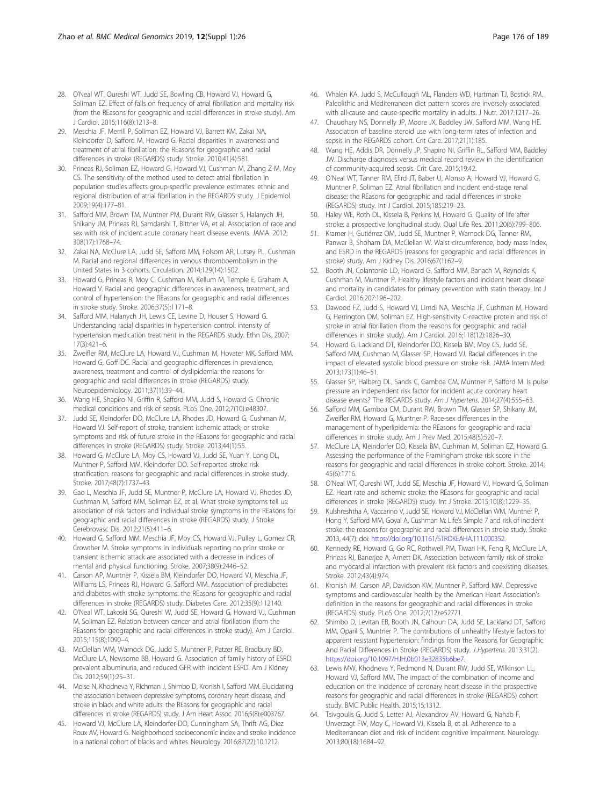- <span id="page-9-0"></span>28. O'Neal WT, Qureshi WT, Judd SE, Bowling CB, Howard VJ, Howard G, Soliman EZ. Effect of falls on frequency of atrial fibrillation and mortality risk (from the REasons for geographic and racial differences in stroke study). Am J Cardiol. 2015;116(8):1213–8.
- 29. Meschia JF, Merrill P, Soliman EZ, Howard VJ, Barrett KM, Zakai NA, Kleindorfer D, Safford M, Howard G. Racial disparities in awareness and treatment of atrial fibrillation: the REasons for geographic and racial differences in stroke (REGARDS) study. Stroke. 2010;41(4):581.
- 30. Prineas RJ, Soliman EZ, Howard G, Howard VJ, Cushman M, Zhang Z-M, Moy CS. The sensitivity of the method used to detect atrial fibrillation in population studies affects group-specific prevalence estimates: ethnic and regional distribution of atrial fibrillation in the REGARDS study. J Epidemiol. 2009;19(4):177–81.
- 31. Safford MM, Brown TM, Muntner PM, Durant RW, Glasser S, Halanych JH, Shikany JM, Prineas RJ, Samdarshi T, Bittner VA, et al. Association of race and sex with risk of incident acute coronary heart disease events. JAMA. 2012; 308(17):1768–74.
- 32. Zakai NA, McClure LA, Judd SE, Safford MM, Folsom AR, Lutsey PL, Cushman M. Racial and regional differences in venous thromboembolism in the United States in 3 cohorts. Circulation. 2014;129(14):1502.
- 33. Howard G, Prineas R, Moy C, Cushman M, Kellum M, Temple E, Graham A, Howard V. Racial and geographic differences in awareness, treatment, and control of hypertension: the REasons for geographic and racial differences in stroke study. Stroke. 2006;37(5):1171–8.
- 34. Safford MM, Halanych JH, Lewis CE, Levine D, Houser S, Howard G. Understanding racial disparities in hypertension control: intensity of hypertension medication treatment in the REGARDS study. Ethn Dis. 2007; 17(3):421–6.
- 35. Zweifler RM, McClure LA, Howard VJ, Cushman M, Hovater MK, Safford MM, Howard G, Goff DC. Racial and geographic differences in prevalence, awareness, treatment and control of dyslipidemia: the reasons for geographic and racial differences in stroke (REGARDS) study. Neuroepidemiology. 2011;37(1):39–44.
- 36. Wang HE, Shapiro NI, Griffin R, Safford MM, Judd S, Howard G. Chronic medical conditions and risk of sepsis. PLoS One. 2012;7(10):e48307.
- 37. Judd SE, Kleindorfer DO, McClure LA, Rhodes JD, Howard G, Cushman M, Howard VJ. Self-report of stroke, transient ischemic attack, or stroke symptoms and risk of future stroke in the REasons for geographic and racial differences in stroke (REGARDS) study. Stroke. 2013;44(1):55.
- 38. Howard G, McClure LA, Moy CS, Howard VJ, Judd SE, Yuan Y, Long DL, Muntner P, Safford MM, Kleindorfer DO. Self-reported stroke risk stratification: reasons for geographic and racial differences in stroke study. Stroke. 2017;48(7):1737–43.
- 39. Gao L, Meschia JF, Judd SE, Muntner P, McClure LA, Howard VJ, Rhodes JD, Cushman M, Safford MM, Soliman EZ, et al. What stroke symptoms tell us: association of risk factors and individual stroke symptoms in the REasons for geographic and racial differences in stroke (REGARDS) study. J Stroke Cerebrovasc Dis. 2012;21(5):411–6.
- 40. Howard G, Safford MM, Meschia JF, Moy CS, Howard VJ, Pulley L, Gomez CR, Crowther M. Stroke symptoms in individuals reporting no prior stroke or transient ischemic attack are associated with a decrease in indices of mental and physical functioning. Stroke. 2007;38(9):2446–52.
- 41. Carson AP, Muntner P, Kissela BM, Kleindorfer DO, Howard VJ, Meschia JF, Williams LS, Prineas RJ, Howard G, Safford MM. Association of prediabetes and diabetes with stroke symptoms: the REasons for geographic and racial differences in stroke (REGARDS) study. Diabetes Care. 2012;35(9):112140.
- 42. O'Neal WT, Lakoski SG, Qureshi W, Judd SE, Howard G, Howard VJ, Cushman M, Soliman EZ. Relation between cancer and atrial fibrillation (from the REasons for geographic and racial differences in stroke study). Am J Cardiol. 2015;115(8):1090–4.
- 43. McClellan WM, Warnock DG, Judd S, Muntner P, Patzer RE, Bradbury BD, McClure LA, Newsome BB, Howard G. Association of family history of ESRD, prevalent albuminuria, and reduced GFR with incident ESRD. Am J Kidney Dis. 2012;59(1):25–31.
- 44. Moise N, Khodneva Y, Richman J, Shimbo D, Kronish I, Safford MM. Elucidating the association between depressive symptoms, coronary heart disease, and stroke in black and white adults: the REasons for geographic and racial differences in stroke (REGARDS) study. J Am Heart Assoc. 2016;5(8):e003767.
- 45. Howard VJ, McClure LA, Kleindorfer DO, Cunningham SA, Thrift AG, Diez Roux AV, Howard G. Neighborhood socioeconomic index and stroke incidence in a national cohort of blacks and whites. Neurology. 2016;87(22):10.1212.
- 46. Whalen KA, Judd S, McCullough ML, Flanders WD, Hartman TJ, Bostick RM. Paleolithic and Mediterranean diet pattern scores are inversely associated with all-cause and cause-specific mortality in adults. J Nutr. 2017:1217–26.
- 47. Chaudhary NS, Donnelly JP, Moore JX, Baddley JW, Safford MM, Wang HE. Association of baseline steroid use with long-term rates of infection and sepsis in the REGARDS cohort. Crit Care. 2017;21(1):185.
- 48. Wang HE, Addis DR, Donnelly JP, Shapiro NI, Griffin RL, Safford MM, Baddley JW. Discharge diagnoses versus medical record review in the identification of community-acquired sepsis. Crit Care. 2015;19:42.
- 49. O'Neal WT, Tanner RM, Efird JT, Baber U, Alonso A, Howard VJ, Howard G, Muntner P, Soliman EZ. Atrial fibrillation and incident end-stage renal disease: the REasons for geographic and racial differences in stroke (REGARDS) study. Int J Cardiol. 2015;185:219–23.
- 50. Haley WE, Roth DL, Kissela B, Perkins M, Howard G. Quality of life after stroke: a prospective longitudinal study. Qual Life Res. 2011;20(6):799–806.
- 51. Kramer H, Gutiérrez OM, Judd SE, Muntner P, Warnock DG, Tanner RM, Panwar B, Shoham DA, McClellan W. Waist circumference, body mass index, and ESRD in the REGARDS (reasons for geographic and racial differences in stroke) study. Am J Kidney Dis. 2016;67(1):62–9.
- 52. Booth JN, Colantonio LD, Howard G, Safford MM, Banach M, Reynolds K, Cushman M, Muntner P. Healthy lifestyle factors and incident heart disease and mortality in candidates for primary prevention with statin therapy. Int J Cardiol. 2016;207:196–202.
- 53. Dawood FZ, Judd S, Howard VJ, Limdi NA, Meschia JF, Cushman M, Howard G, Herrington DM, Soliman EZ. High-sensitivity C-reactive protein and risk of stroke in atrial fibrillation (from the reasons for geographic and racial differences in stroke study). Am J Cardiol. 2016;118(12):1826–30.
- 54. Howard G, Lackland DT, Kleindorfer DO, Kissela BM, Moy CS, Judd SE, Safford MM, Cushman M, Glasser SP, Howard VJ. Racial differences in the impact of elevated systolic blood pressure on stroke risk. JAMA Intern Med. 2013;173(1):46–51.
- 55. Glasser SP, Halberg DL, Sands C, Gamboa CM, Muntner P, Safford M. Is pulse pressure an independent risk factor for incident acute coronary heart disease events? The REGARDS study. Am J Hypertens. 2014;27(4):555–63.
- 56. Safford MM, Gamboa CM, Durant RW, Brown TM, Glasser SP, Shikany JM, Zweifler RM, Howard G, Muntner P. Race-sex differences in the management of hyperlipidemia: the REasons for geographic and racial differences in stroke study. Am J Prev Med. 2015;48(5):520–7.
- 57. McClure LA, Kleindorfer DO, Kissela BM, Cushman M, Soliman EZ, Howard G. Assessing the performance of the Framingham stroke risk score in the reasons for geographic and racial differences in stroke cohort. Stroke. 2014; 45(6):1716.
- 58. O'Neal WT, Qureshi WT, Judd SE, Meschia JF, Howard VJ, Howard G, Soliman EZ. Heart rate and ischemic stroke: the REasons for geographic and racial differences in stroke (REGARDS) study. Int J Stroke. 2015;10(8):1229–35.
- 59. Kulshreshtha A, Vaccarino V, Judd SE, Howard VJ, McClellan WM, Muntner P, Hong Y, Safford MM, Goyal A, Cushman M: Life's Simple 7 and risk of incident stroke: the reasons for geographic and racial differences in stroke study. Stroke 2013, 44(7): doi: <https://doi.org/10.1161/STROKEAHA.111.000352>.
- 60. Kennedy RE, Howard G, Go RC, Rothwell PM, Tiwari HK, Feng R, McClure LA, Prineas RJ, Banerjee A, Arnett DK. Association between family risk of stroke and myocardial infarction with prevalent risk factors and coexisting diseases. Stroke. 2012;43(4):974.
- 61. Kronish IM, Carson AP, Davidson KW, Muntner P, Safford MM. Depressive symptoms and cardiovascular health by the American Heart Association's definition in the reasons for geographic and racial differences in stroke (REGARDS) study. PLoS One. 2012;7(12):e52771.
- 62. Shimbo D, Levitan EB, Booth JN, Calhoun DA, Judd SE, Lackland DT, Safford MM, Oparil S, Muntner P. The contributions of unhealthy lifestyle factors to apparent resistant hypertension: findings from the Reasons for Geographic And Racial Differences in Stroke (REGARDS) study. J Hypertens. 2013;31(2). <https://doi.org/10.1097/HJH.0b013e32835b6be7>.
- 63. Lewis MW, Khodneva Y, Redmond N, Durant RW, Judd SE, Wilkinson LL, Howard VJ, Safford MM. The impact of the combination of income and education on the incidence of coronary heart disease in the prospective reasons for geographic and racial differences in stroke (REGARDS) cohort study. BMC Public Health. 2015;15:1312.
- 64. Tsivgoulis G, Judd S, Letter AJ, Alexandrov AV, Howard G, Nahab F, Unverzagt FW, Moy C, Howard VJ, Kissela B, et al. Adherence to a Mediterranean diet and risk of incident cognitive impairment. Neurology. 2013;80(18):1684–92.